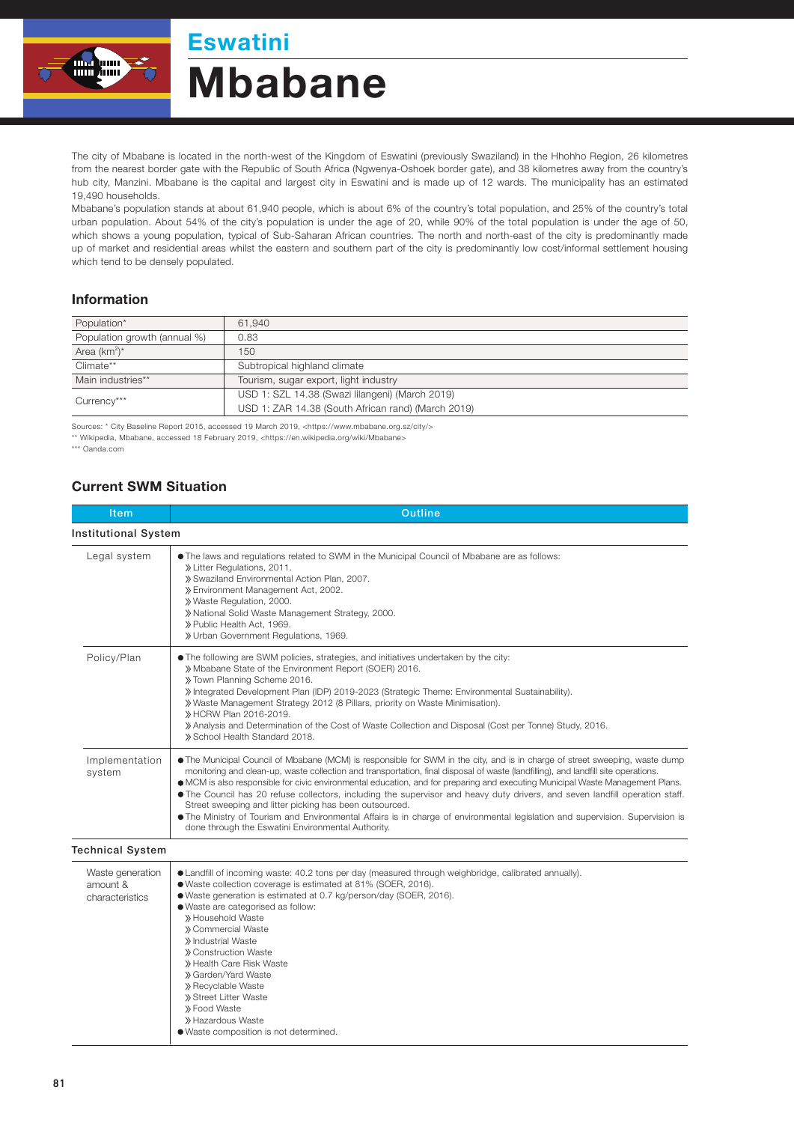## Mbabane Eswatini

The city of Mbabane is located in the north-west of the Kingdom of Eswatini (previously Swaziland) in the Hhohho Region, 26 kilometres from the nearest border gate with the Republic of South Africa (Ngwenya-Oshoek border gate), and 38 kilometres away from the country's hub city, Manzini. Mbabane is the capital and largest city in Eswatini and is made up of 12 wards. The municipality has an estimated 19,490 households.

Mbabane's population stands at about 61,940 people, which is about 6% of the country's total population, and 25% of the country's total urban population. About 54% of the city's population is under the age of 20, while 90% of the total population is under the age of 50, which shows a young population, typical of Sub-Saharan African countries. The north and north-east of the city is predominantly made up of market and residential areas whilst the eastern and southern part of the city is predominantly low cost/informal settlement housing which tend to be densely populated.

## Information

| Population*                  | 61.940                                             |  |
|------------------------------|----------------------------------------------------|--|
| Population growth (annual %) | 0.83                                               |  |
| Area $(km^2)^*$              | 150                                                |  |
| Climate**                    | Subtropical highland climate                       |  |
| Main industries**            | Tourism, sugar export, light industry              |  |
| Currency***                  | USD 1: SZL 14.38 (Swazi lilangeni) (March 2019)    |  |
|                              | USD 1: ZAR 14.38 (South African rand) (March 2019) |  |

Sources: \* City Baseline Report 2015, accessed 19 March 2019, <https://www.mbabane.org.sz/city/>

\*\* Wikipedia, Mbabane, accessed 18 February 2019, <https://en.wikipedia.org/wiki/Mbabane>

\*\*\* Oanda.com

## Current SWM Situation

| Item                                            | Outline                                                                                                                                                                                                                                                                                                                                                                                                                                                                                                                                                                                                                                                                                                                                                                                |  |  |
|-------------------------------------------------|----------------------------------------------------------------------------------------------------------------------------------------------------------------------------------------------------------------------------------------------------------------------------------------------------------------------------------------------------------------------------------------------------------------------------------------------------------------------------------------------------------------------------------------------------------------------------------------------------------------------------------------------------------------------------------------------------------------------------------------------------------------------------------------|--|--|
| <b>Institutional System</b>                     |                                                                                                                                                                                                                                                                                                                                                                                                                                                                                                                                                                                                                                                                                                                                                                                        |  |  |
| Legal system                                    | • The laws and regulations related to SWM in the Municipal Council of Mbabane are as follows:<br>» Litter Regulations, 2011.<br>» Swaziland Environmental Action Plan, 2007.<br>» Environment Management Act, 2002.<br>» Waste Regulation, 2000.<br>» National Solid Waste Management Strategy, 2000.<br>» Public Health Act, 1969.<br>» Urban Government Regulations, 1969.                                                                                                                                                                                                                                                                                                                                                                                                           |  |  |
| Policy/Plan                                     | • The following are SWM policies, strategies, and initiatives undertaken by the city:<br>» Mbabane State of the Environment Report (SOER) 2016.<br>» Town Planning Scheme 2016.<br>» Integrated Development Plan (IDP) 2019-2023 (Strategic Theme: Environmental Sustainability).<br>» Waste Management Strategy 2012 (8 Pillars, priority on Waste Minimisation).<br>» HCRW Plan 2016-2019.<br>» Analysis and Determination of the Cost of Waste Collection and Disposal (Cost per Tonne) Study, 2016.<br>» School Health Standard 2018.                                                                                                                                                                                                                                              |  |  |
| Implementation<br>system                        | . The Municipal Council of Mbabane (MCM) is responsible for SWM in the city, and is in charge of street sweeping, waste dump<br>monitoring and clean-up, waste collection and transportation, final disposal of waste (landfilling), and landfill site operations.<br>• MCM is also responsible for civic environmental education, and for preparing and executing Municipal Waste Management Plans.<br>• The Council has 20 refuse collectors, including the supervisor and heavy duty drivers, and seven landfill operation staff.<br>Street sweeping and litter picking has been outsourced.<br>• The Ministry of Tourism and Environmental Affairs is in charge of environmental legislation and supervision. Supervision is<br>done through the Eswatini Environmental Authority. |  |  |
| <b>Technical System</b>                         |                                                                                                                                                                                                                                                                                                                                                                                                                                                                                                                                                                                                                                                                                                                                                                                        |  |  |
| Waste generation<br>amount &<br>characteristics | • Landfill of incoming waste: 40.2 tons per day (measured through weighbridge, calibrated annually).<br>● Waste collection coverage is estimated at 81% (SOER, 2016).<br>· Waste generation is estimated at 0.7 kg/person/day (SOER, 2016).<br>· Waste are categorised as follow:<br>» Household Waste<br>» Commercial Waste<br>» Industrial Waste<br>» Construction Waste<br>» Health Care Risk Waste<br>» Garden/Yard Waste<br>» Recyclable Waste<br>» Street Litter Waste<br>» Food Waste<br>» Hazardous Waste<br>· Waste composition is not determined.                                                                                                                                                                                                                            |  |  |